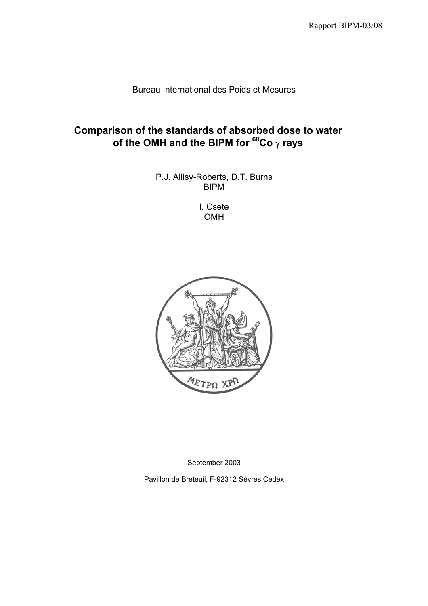Bureau International des Poids et Mesures

# **Comparison of the standards of absorbed dose to water of the OMH and the BIPM for 60Co** γ **rays**

P.J. Allisy-Roberts, D.T. Burns BIPM

> I. Csete OMH



September 2003

Pavillon de Breteuil, F-92312 Sèvres Cedex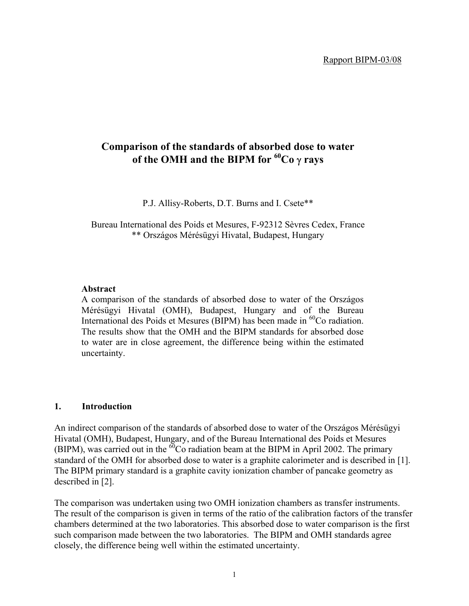# **Comparison of the standards of absorbed dose to water of the OMH and the BIPM for <sup>60</sup>Co γ rays**

P.J. Allisy-Roberts, D.T. Burns and I. Csete\*\*

Bureau International des Poids et Mesures, F-92312 Sèvres Cedex, France \*\* Országos Mérésügyi Hivatal, Budapest, Hungary

### **Abstract**

A comparison of the standards of absorbed dose to water of the Országos Mérésügyi Hivatal (OMH), Budapest, Hungary and of the Bureau International des Poids et Mesures (BIPM) has been made in <sup>60</sup>Co radiation. The results show that the OMH and the BIPM standards for absorbed dose to water are in close agreement, the difference being within the estimated uncertainty.

### **1. Introduction**

An indirect comparison of the standards of absorbed dose to water of the Országos Mérésügyi Hivatal (OMH), Budapest, Hungary, and of the Bureau International des Poids et Mesures (BIPM), was carried out in the  $\delta^0$ Co radiation beam at the BIPM in April 2002. The primary standard of the OMH for absorbed dose to water is a graphite calorimeter and is described in [1]. The BIPM primary standard is a graphite cavity ionization chamber of pancake geometry as described in [2].

The comparison was undertaken using two OMH ionization chambers as transfer instruments. The result of the comparison is given in terms of the ratio of the calibration factors of the transfer chambers determined at the two laboratories. This absorbed dose to water comparison is the first such comparison made between the two laboratories. The BIPM and OMH standards agree closely, the difference being well within the estimated uncertainty.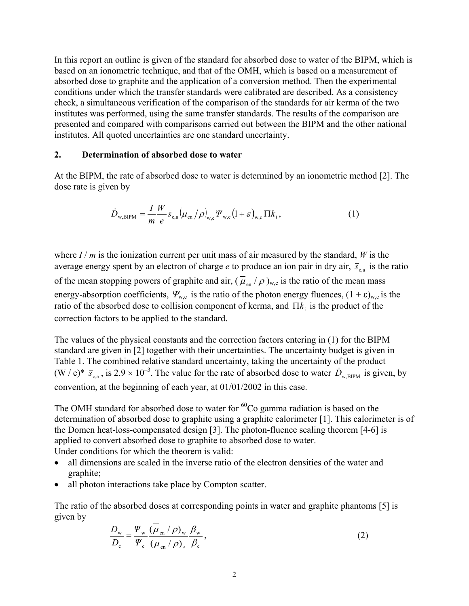In this report an outline is given of the standard for absorbed dose to water of the BIPM, which is based on an ionometric technique, and that of the OMH, which is based on a measurement of absorbed dose to graphite and the application of a conversion method. Then the experimental conditions under which the transfer standards were calibrated are described. As a consistency check, a simultaneous verification of the comparison of the standards for air kerma of the two institutes was performed, using the same transfer standards. The results of the comparison are presented and compared with comparisons carried out between the BIPM and the other national institutes. All quoted uncertainties are one standard uncertainty.

#### **2. Determination of absorbed dose to water**

At the BIPM, the rate of absorbed dose to water is determined by an ionometric method [2]. The dose rate is given by

$$
\dot{D}_{\text{w,BIPM}} = \frac{I}{m} \frac{W}{e} \overline{s}_{\text{c,a}} (\overline{\mu}_{\text{en}}/\rho)_{\text{w,c}} \Psi_{\text{w,c}} (1+\varepsilon)_{\text{w,c}} \Pi k_i, \qquad (1)
$$

where  $I/m$  is the ionization current per unit mass of air measured by the standard, *W* is the average energy spent by an electron of charge *e* to produce an ion pair in dry air,  $\bar{s}_{cs}$  is the ratio of the mean stopping powers of graphite and air,  $(\overline{\mu}_{en} / \rho)_{w,c}$  is the ratio of the mean mass energy-absorption coefficients,  $\Psi_{w,c}$  is the ratio of the photon energy fluences,  $(1 + \varepsilon)_{w,c}$  is the ratio of the absorbed dose to collision component of kerma, and  $\Pi k_i$  is the product of the correction factors to be applied to the standard.

The values of the physical constants and the correction factors entering in (1) for the BIPM standard are given in [2] together with their uncertainties. The uncertainty budget is given in Table 1. The combined relative standard uncertainty, taking the uncertainty of the product  $(W / e)^* \bar{s}_{c,a}$ , is  $2.9 \times 10^{-3}$ . The value for the rate of absorbed dose to water  $\dot{D}_{w,BIPM}$  is given, by convention, at the beginning of each year, at 01/01/2002 in this case.

The OMH standard for absorbed dose to water for  ${}^{60}Co$  gamma radiation is based on the determination of absorbed dose to graphite using a graphite calorimeter [1]. This calorimeter is of the Domen heat-loss-compensated design [3]. The photon-fluence scaling theorem [4-6] is applied to convert absorbed dose to graphite to absorbed dose to water. Under conditions for which the theorem is valid:

- all dimensions are scaled in the inverse ratio of the electron densities of the water and graphite;
- all photon interactions take place by Compton scatter.

The ratio of the absorbed doses at corresponding points in water and graphite phantoms [5] is given by

$$
\frac{D_{\rm w}}{D_{\rm c}} = \frac{\Psi_{\rm w}}{\Psi_{\rm c}} \frac{(\mu_{\rm en}/\rho)_{\rm w}}{(\mu_{\rm en}/\rho)_{\rm c}} \frac{\beta_{\rm w}}{\beta_{\rm c}},
$$
\n(2)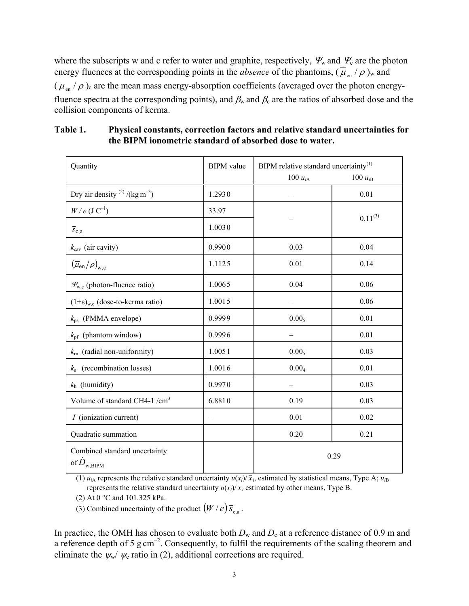where the subscripts w and c refer to water and graphite, respectively,  $\Psi_w$  and  $\Psi_c$  are the photon energy fluences at the corresponding points in the *absence* of the phantoms,  $(\bar{\mu}_{en}/\rho)_{w}$  and  $(\bar{\mu}_{en}/\rho)$  are the mean mass energy-absorption coefficients (averaged over the photon energyfluence spectra at the corresponding points), and  $\beta_w$  and  $\beta_c$  are the ratios of absorbed dose and the collision components of kerma.

| Quantity                                                   | <b>BIPM</b> value | BIPM relative standard uncertainty <sup>(1)</sup> |              |  |
|------------------------------------------------------------|-------------------|---------------------------------------------------|--------------|--|
|                                                            |                   | 100 $u_{iA}$                                      | 100 $u_{iB}$ |  |
| Dry air density $^{(2)}$ /(kg m <sup>-3</sup> )            | 1.2930            |                                                   | 0.01         |  |
| $W/e$ (J $C^{-1}$ )                                        | 33.97             |                                                   | $0.11^{(3)}$ |  |
| $\overline{s}_{c,a}$                                       | 1.0030            |                                                   |              |  |
| $k_{\text{cav}}$ (air cavity)                              | 0.9900            | 0.03                                              | 0.04         |  |
| $(\overline{\mu}_{en}/\rho)_{w,c}$                         | 1.1125            | 0.01                                              | 0.14         |  |
| $\Psi_{w,c}$ (photon-fluence ratio)                        | 1.0065            | 0.04                                              | 0.06         |  |
| $(1+\varepsilon)_{w,c}$ (dose-to-kerma ratio)              | 1.0015            |                                                   | 0.06         |  |
| $k_{\text{ps}}$ (PMMA envelope)                            | 0.9999            | 0.00 <sub>5</sub>                                 | 0.01         |  |
| $k_{\text{pf}}$ (phantom window)                           | 0.9996            |                                                   | 0.01         |  |
| $k_{\rm rn}$ (radial non-uniformity)                       | 1.0051            | 0.00 <sub>5</sub>                                 | 0.03         |  |
| (recombination losses)<br>$k_{\rm s}$                      | 1.0016            | 0.00 <sub>4</sub>                                 | 0.01         |  |
| $k_h$ (humidity)                                           | 0.9970            |                                                   | 0.03         |  |
| Volume of standard CH4-1 /cm <sup>3</sup>                  | 6.8810            | 0.19                                              | 0.03         |  |
| I (ionization current)                                     | $\qquad \qquad -$ | 0.01                                              | 0.02         |  |
| Quadratic summation                                        |                   | 0.20                                              | 0.21         |  |
| Combined standard uncertainty<br>of $\dot{D}_{\rm w,BIPM}$ |                   | 0.29                                              |              |  |

**Table 1. Physical constants, correction factors and relative standard uncertainties for the BIPM ionometric standard of absorbed dose to water.**

(1)  $u_{iA}$  represents the relative standard uncertainty  $u(x_i)/\bar{x}_i$ , estimated by statistical means, Type A;  $u_{iB}$ represents the relative standard uncertainty  $u(x_i)/\bar{x}_i$  estimated by other means, Type B.

(2) At 0 °C and 101.325 kPa.

(3) Combined uncertainty of the product  $(W / e) \overline{s}_{c,a}$ .

In practice, the OMH has chosen to evaluate both  $D_w$  and  $D_c$  at a reference distance of 0.9 m and a reference depth of 5 g cm<sup>-2</sup>. Consequently, to fulfil the requirements of the scaling theorem and eliminate the  $\psi_w / \psi_c$  ratio in (2), additional corrections are required.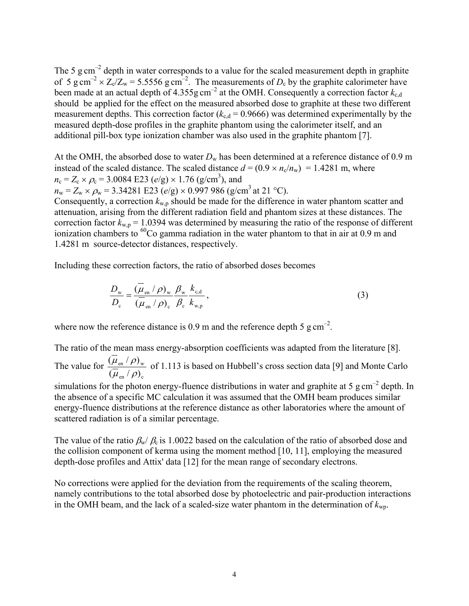The 5  $\text{g cm}^{-2}$  depth in water corresponds to a value for the scaled measurement depth in graphite of 5 g cm<sup>-2</sup> ×  $Z_c/Z_w$  = 5.5556 g cm<sup>-2</sup>. The measurements of  $D_c$  by the graphite calorimeter have been made at an actual depth of  $4.355g \text{ cm}^{-2}$  at the OMH. Consequently a correction factor  $k_{c,d}$ should be applied for the effect on the measured absorbed dose to graphite at these two different measurement depths. This correction factor  $(k_{c,d} = 0.9666)$  was determined experimentally by the measured depth-dose profiles in the graphite phantom using the calorimeter itself, and an additional pill-box type ionization chamber was also used in the graphite phantom [7].

At the OMH, the absorbed dose to water  $D_w$  has been determined at a reference distance of 0.9 m instead of the scaled distance. The scaled distance  $d = (0.9 \times n_c/n_w) = 1.4281$  m, where  $n_c = Z_c \times \rho_c = 3.0084 \text{ E}23 \text{ (e/g)} \times 1.76 \text{ (g/cm}^3)$ , and

 $n_w = Z_w \times \rho_w = 3.34281 \text{ E}23 \text{ (e/g)} \times 0.997986 \text{ (g/cm}^3 \text{ at } 21 \text{ °C)}$ .

Consequently, a correction  $k_{w,p}$  should be made for the difference in water phantom scatter and attenuation, arising from the different radiation field and phantom sizes at these distances. The correction factor  $k_{w,p} = 1.0394$  was determined by measuring the ratio of the response of different ionization chambers to  ${}^{60}$ Co gamma radiation in the water phantom to that in air at 0.9 m and 1.4281 m source-detector distances, respectively.

Including these correction factors, the ratio of absorbed doses becomes

$$
\frac{D_{\rm w}}{D_{\rm c}} = \frac{(\overline{\mu}_{\rm en} / \rho)_{\rm w}}{(\overline{\mu}_{\rm en} / \rho)_{\rm c}} \frac{\beta_{\rm w}}{\beta_{\rm c}} \frac{k_{\rm c,d}}{k_{\rm w,p}},
$$
(3)

where now the reference distance is 0.9 m and the reference depth 5  $\text{g cm}^{-2}$ .

The ratio of the mean mass energy-absorption coefficients was adapted from the literature [8]. The value for en  $\mu$ ,  $\mu$ ,  $\mu$ en ' $\mu$ <sub>w</sub>  $(\overline{\mu}_{\scriptscriptstyle{\text{en}}}\,/\,\rho)$  $(\mu_{\scriptscriptstyle en}/\rho)$  $\mu$ <sub>en</sub> /  $\rho$  $\frac{\mu_{\text{en}}/\rho_{\text{w}}}{\rho}$  of 1.113 is based on Hubbell's cross section data [9] and Monte Carlo

simulations for the photon energy-fluence distributions in water and graphite at 5 g cm<sup>-2</sup> depth. In the absence of a specific MC calculation it was assumed that the OMH beam produces similar energy-fluence distributions at the reference distance as other laboratories where the amount of scattered radiation is of a similar percentage.

The value of the ratio  $\beta_w/\beta_c$  is 1.0022 based on the calculation of the ratio of absorbed dose and the collision component of kerma using the moment method [10, 11], employing the measured depth-dose profiles and Attix' data [12] for the mean range of secondary electrons.

No corrections were applied for the deviation from the requirements of the scaling theorem, namely contributions to the total absorbed dose by photoelectric and pair-production interactions in the OMH beam, and the lack of a scaled-size water phantom in the determination of  $k_{\text{wn}}$ .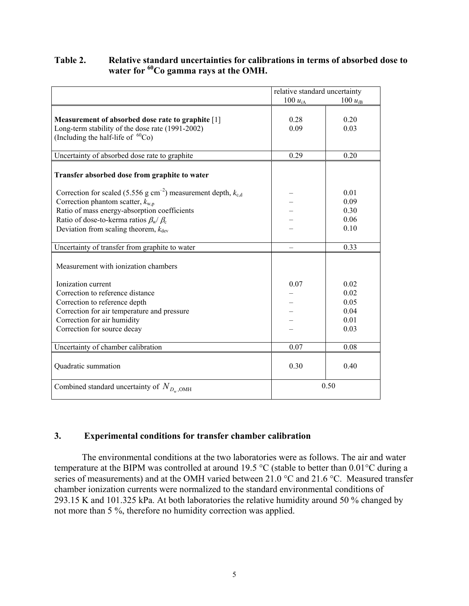# **Table 2. Relative standard uncertainties for calibrations in terms of absorbed dose to** water for <sup>60</sup>Co gamma rays at the OMH.

|                                                                                                                                                                                                                                                                                  | relative standard uncertainty |                                              |  |
|----------------------------------------------------------------------------------------------------------------------------------------------------------------------------------------------------------------------------------------------------------------------------------|-------------------------------|----------------------------------------------|--|
|                                                                                                                                                                                                                                                                                  | 100 $u_{iA}$                  | 100 $u_{iB}$                                 |  |
| Measurement of absorbed dose rate to graphite [1]<br>Long-term stability of the dose rate (1991-2002)<br>(Including the half-life of ${}^{60}Co$ )                                                                                                                               | 0.28<br>0.09                  | 0.20<br>0.03                                 |  |
| Uncertainty of absorbed dose rate to graphite                                                                                                                                                                                                                                    | 0.29                          | 0.20                                         |  |
| Transfer absorbed dose from graphite to water                                                                                                                                                                                                                                    |                               |                                              |  |
| Correction for scaled (5.556 g cm <sup>-2</sup> ) measurement depth, $k_{c,d}$<br>Correction phantom scatter, $k_{w,p}$<br>Ratio of mass energy-absorption coefficients<br>Ratio of dose-to-kerma ratios $\beta_{w}/\beta_c$<br>Deviation from scaling theorem, $k_{\text{dev}}$ |                               | 0.01<br>0.09<br>0.30<br>0.06<br>0.10         |  |
| Uncertainty of transfer from graphite to water                                                                                                                                                                                                                                   |                               | 0.33                                         |  |
| Measurement with ionization chambers                                                                                                                                                                                                                                             |                               |                                              |  |
| Ionization current<br>Correction to reference distance<br>Correction to reference depth<br>Correction for air temperature and pressure<br>Correction for air humidity<br>Correction for source decay                                                                             | 0.07                          | 0.02<br>0.02<br>0.05<br>0.04<br>0.01<br>0.03 |  |
| Uncertainty of chamber calibration                                                                                                                                                                                                                                               | 0.07                          | 0.08                                         |  |
| Quadratic summation                                                                                                                                                                                                                                                              | 0.30                          | 0.40                                         |  |
| Combined standard uncertainty of $N_{D_w, \text{OMH}}$                                                                                                                                                                                                                           |                               | 0.50                                         |  |

## **3. Experimental conditions for transfer chamber calibration**

The environmental conditions at the two laboratories were as follows. The air and water temperature at the BIPM was controlled at around 19.5 °C (stable to better than 0.01°C during a series of measurements) and at the OMH varied between 21.0 °C and 21.6 °C. Measured transfer chamber ionization currents were normalized to the standard environmental conditions of 293.15 K and 101.325 kPa. At both laboratories the relative humidity around 50 % changed by not more than 5 %, therefore no humidity correction was applied.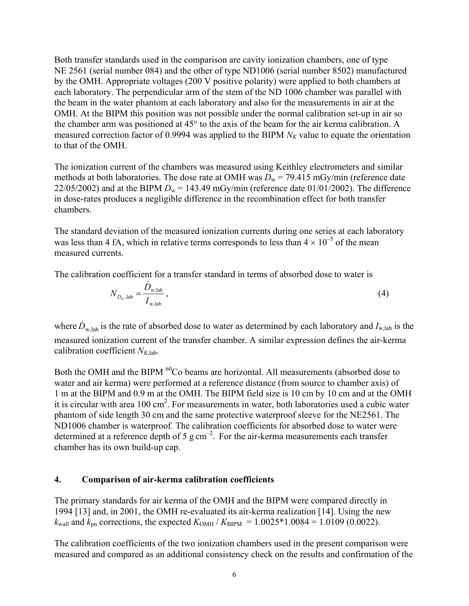Both transfer standards used in the comparison are cavity ionization chambers, one of type NE 2561 (serial number 084) and the other of type ND1006 (serial number 8502) manufactured by the OMH. Appropriate voltages (200 V positive polarity) were applied to both chambers at each laboratory. The perpendicular arm of the stem of the ND 1006 chamber was parallel with the beam in the water phantom at each laboratory and also for the measurements in air at the OMH. At the BIPM this position was not possible under the normal calibration set-up in air so the chamber arm was positioned at 45° to the axis of the beam for the air kerma calibration. A measured correction factor of 0.9994 was applied to the BIPM  $N_K$  value to equate the orientation to that of the OMH.

The ionization current of the chambers was measured using Keithley electrometers and similar methods at both laboratories. The dose rate at OMH was  $D_w = 79.415$  mGy/min (reference date 22/05/2002) and at the BIPM  $D_w = 143.49$  mGy/min (reference date 01/01/2002). The difference in dose-rates produces a negligible difference in the recombination effect for both transfer chambers.

The standard deviation of the measured ionization currents during one series at each laboratory was less than 4 fA, which in relative terms corresponds to less than  $4 \times 10^{-5}$  of the mean measured currents.

The calibration coefficient for a transfer standard in terms of absorbed dose to water is

$$
N_{D_{\rm w},\text{lab}} = \frac{\dot{D}_{\rm w,lab}}{I_{\rm w,lab}}\,,\tag{4}
$$

where  $\dot{D}_{w,lab}$  is the rate of absorbed dose to water as determined by each laboratory and  $I_{w,lab}$  is the measured ionization current of the transfer chamber. A similar expression defines the air-kerma calibration coefficient  $N_{K,lab}$ .

Both the OMH and the BIPM <sup>60</sup>Co beams are horizontal. All measurements (absorbed dose to water and air kerma) were performed at a reference distance (from source to chamber axis) of 1 m at the BIPM and 0.9 m at the OMH. The BIPM field size is 10 cm by 10 cm and at the OMH it is circular with area  $100 \text{ cm}^2$ . For measurements in water, both laboratories used a cubic water phantom of side length 30 cm and the same protective waterproof sleeve for the NE2561. The ND1006 chamber is waterproof. The calibration coefficients for absorbed dose to water were determined at a reference depth of 5 g cm<sup>-2</sup>. For the air-kerma measurements each transfer chamber has its own build-up cap.

### **4. Comparison of air-kerma calibration coefficients**

The primary standards for air kerma of the OMH and the BIPM were compared directly in 1994 [13] and, in 2001, the OMH re-evaluated its air-kerma realization [14]. Using the new  $k_{\text{wall}}$  and  $k_{\text{on}}$  corrections, the expected  $K_{\text{OMH}}/K_{\text{BIPM}} = 1.0025*1.0084 = 1.0109$  (0.0022).

The calibration coefficients of the two ionization chambers used in the present comparison were measured and compared as an additional consistency check on the results and confirmation of the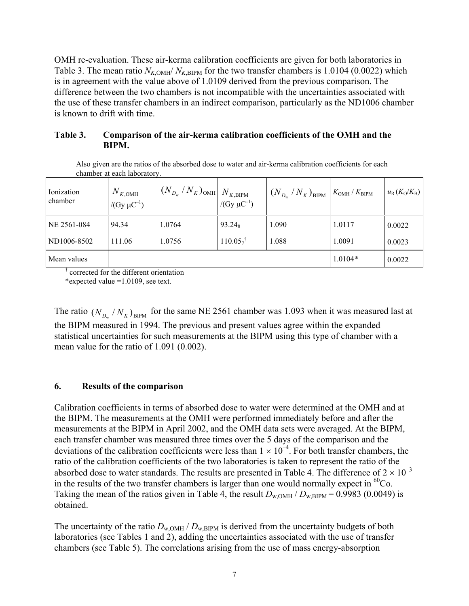OMH re-evaluation. These air-kerma calibration coefficients are given for both laboratories in Table 3. The mean ratio  $N_{K,OMH}/N_{K,BIPM}$  for the two transfer chambers is 1.0104 (0.0022) which is in agreement with the value above of 1.0109 derived from the previous comparison. The difference between the two chambers is not incompatible with the uncertainties associated with the use of these transfer chambers in an indirect comparison, particularly as the ND1006 chamber is known to drift with time.

## **Table 3. Comparison of the air-kerma calibration coefficients of the OMH and the BIPM.**

Also given are the ratios of the absorbed dose to water and air-kerma calibration coefficients for each chamber at each laboratory.

| Ionization<br>chamber | $N_{K, \text{OMH}}$<br>/(Gy $\mu$ C <sup>-1</sup> ) | $\left\lceil (N_{_{D_{\text{w}}}}/N_K)_{\text{OMH}} \right\rceil N_{_{K,\text{BIPM}}}$ | /(Gy $\mu$ C <sup>-1</sup> ) | $\left(N_{D_{\rm w}}/N_K\right)_{\rm BIPM}$ $K_{\rm OMH}/K_{\rm BIPM}$ |           | $u_{\rm R}(K_{\rm O}/K_{\rm B})$ |
|-----------------------|-----------------------------------------------------|----------------------------------------------------------------------------------------|------------------------------|------------------------------------------------------------------------|-----------|----------------------------------|
| NE 2561-084           | 94.34                                               | 1.0764                                                                                 | $93.24_8$                    | 1.090                                                                  | 1.0117    | 0.0022                           |
| ND1006-8502           | 111.06                                              | 1.0756                                                                                 | $110.05^{+}$                 | 1.088                                                                  | 1.0091    | 0.0023                           |
| Mean values           |                                                     |                                                                                        |                              |                                                                        | $1.0104*$ | 0.0022                           |

† corrected for the different orientation

\*expected value =1.0109, see text.

The ratio  $(N_{D_w} / N_K)_{BIPM}$  for the same NE 2561 chamber was 1.093 when it was measured last at the BIPM measured in 1994. The previous and present values agree within the expanded statistical uncertainties for such measurements at the BIPM using this type of chamber with a mean value for the ratio of 1.091 (0.002).

## **6. Results of the comparison**

Calibration coefficients in terms of absorbed dose to water were determined at the OMH and at the BIPM. The measurements at the OMH were performed immediately before and after the measurements at the BIPM in April 2002, and the OMH data sets were averaged. At the BIPM, each transfer chamber was measured three times over the 5 days of the comparison and the deviations of the calibration coefficients were less than  $1 \times 10^{-4}$ . For both transfer chambers, the ratio of the calibration coefficients of the two laboratories is taken to represent the ratio of the absorbed dose to water standards. The results are presented in Table 4. The difference of  $2 \times 10^{-3}$ in the results of the two transfer chambers is larger than one would normally expect in  ${}^{60}Co$ . Taking the mean of the ratios given in Table 4, the result  $D_{\text{w,OMH}}/D_{\text{w,BIPM}} = 0.9983$  (0.0049) is obtained.

The uncertainty of the ratio  $D_{\text{w-OMH}}/D_{\text{w-BIPM}}$  is derived from the uncertainty budgets of both laboratories (see Tables 1 and 2), adding the uncertainties associated with the use of transfer chambers (see Table 5). The correlations arising from the use of mass energy-absorption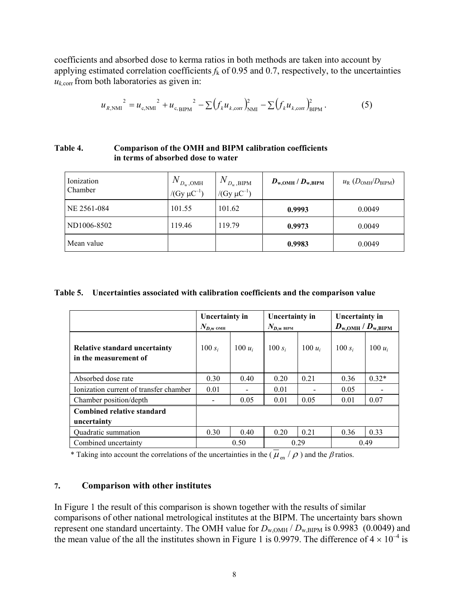coefficients and absorbed dose to kerma ratios in both methods are taken into account by applying estimated correlation coefficients  $f_k$  of 0.95 and 0.7, respectively, to the uncertainties  $u_{k,corr}$  from both laboratories as given in:

$$
u_{R,\text{NMI}}^{2} = u_{c,\text{NMI}}^{2} + u_{c,\text{BIPM}}^{2} - \sum (f_{k} u_{k,\text{corr}})_{\text{NMI}}^{2} - \sum (f_{k} u_{k,\text{corr}})_{\text{BIPM}}^{2}.
$$
 (5)

### **Table 4. Comparison of the OMH and BIPM calibration coefficients in terms of absorbed dose to water**

| Ionization<br>Chamber | $N_{D_{\rm w},\rm OMH}$<br>/(Gy $\mu$ C <sup>-1</sup> ) | $N_{D_{\rm w},\rm BIPM}$<br>/ $(Gy \mu C^{-1})$ | $D_{\text{w,OMH}}$ / $D_{\text{w,BIPM}}$ | $u_{\rm R}$ ( $D_{\rm OMH}/D_{\rm BIPM}$ ) |
|-----------------------|---------------------------------------------------------|-------------------------------------------------|------------------------------------------|--------------------------------------------|
| NE 2561-084           | 101.55                                                  | 101.62                                          | 0.9993                                   | 0.0049                                     |
| ND1006-8502           | 119.46                                                  | 119.79                                          | 0.9973                                   | 0.0049                                     |
| Mean value            |                                                         |                                                 | 0.9983                                   | 0.0049                                     |

### **Table 5. Uncertainties associated with calibration coefficients and the comparison value**

|                                                               | Uncertainty in<br>$N_{D,\textrm{w}}$ omh |           | Uncertainty in<br>$N_{\rm D,w \text{ BIPM}}$ |           | Uncertainty in<br>$D_{\text{w,OMH}}$ / $D_{\text{w,BIPM}}$ |           |
|---------------------------------------------------------------|------------------------------------------|-----------|----------------------------------------------|-----------|------------------------------------------------------------|-----------|
| <b>Relative standard uncertainty</b><br>in the measurement of | 100 $s_i$                                | 100 $u_i$ | 100 $s_i$                                    | 100 $u_i$ | 100 $s_i$                                                  | 100 $u_i$ |
| Absorbed dose rate                                            | 0.30                                     | 0.40      | 0.20                                         | 0.21      | 0.36                                                       | $0.32*$   |
| Ionization current of transfer chamber                        | 0.01                                     |           | 0.01                                         |           | 0.05                                                       |           |
| Chamber position/depth                                        |                                          | 0.05      | 0.01                                         | 0.05      | 0.01                                                       | 0.07      |
| Combined relative standard<br>uncertainty                     |                                          |           |                                              |           |                                                            |           |
| Quadratic summation                                           | 0.30                                     | 0.40      | 0.20                                         | 0.21      | 0.36                                                       | 0.33      |
| Combined uncertainty                                          | 0.50                                     |           | 0.29                                         |           | 0.49                                                       |           |

\* Taking into account the correlations of the uncertainties in the ( $\overline{\mu}_{en}$  / $\rho$ ) and the  $\beta$  ratios.

### **7. Comparison with other institutes**

In Figure 1 the result of this comparison is shown together with the results of similar comparisons of other national metrological institutes at the BIPM. The uncertainty bars shown represent one standard uncertainty. The OMH value for  $D_{\text{w,OMH}}/D_{\text{w,BIPM}}$  is 0.9983 (0.0049) and the mean value of the all the institutes shown in Figure 1 is 0.9979. The difference of  $4 \times 10^{-4}$  is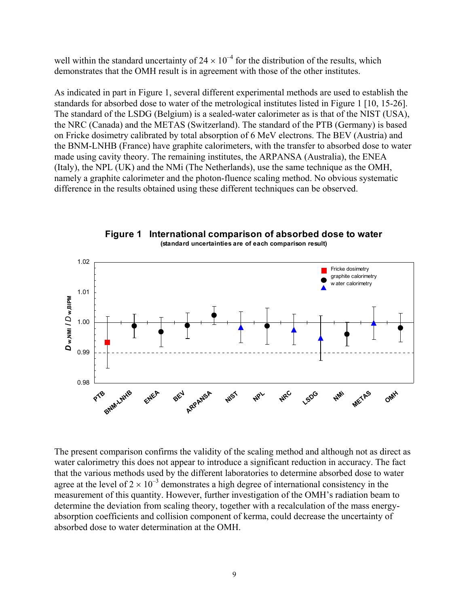well within the standard uncertainty of  $24 \times 10^{-4}$  for the distribution of the results, which demonstrates that the OMH result is in agreement with those of the other institutes.

As indicated in part in Figure 1, several different experimental methods are used to establish the standards for absorbed dose to water of the metrological institutes listed in Figure 1 [10, 15-26]. The standard of the LSDG (Belgium) is a sealed-water calorimeter as is that of the NIST (USA), the NRC (Canada) and the METAS (Switzerland). The standard of the PTB (Germany) is based on Fricke dosimetry calibrated by total absorption of 6 MeV electrons. The BEV (Austria) and the BNM-LNHB (France) have graphite calorimeters, with the transfer to absorbed dose to water made using cavity theory. The remaining institutes, the ARPANSA (Australia), the ENEA (Italy), the NPL (UK) and the NMi (The Netherlands), use the same technique as the OMH, namely a graphite calorimeter and the photon-fluence scaling method. No obvious systematic difference in the results obtained using these different techniques can be observed.



**Figure 1 International comparison of absorbed dose to water (standard uncertainties are of each comparison result)** 

The present comparison confirms the validity of the scaling method and although not as direct as water calorimetry this does not appear to introduce a significant reduction in accuracy. The fact that the various methods used by the different laboratories to determine absorbed dose to water agree at the level of  $2 \times 10^{-3}$  demonstrates a high degree of international consistency in the measurement of this quantity. However, further investigation of the OMH's radiation beam to determine the deviation from scaling theory, together with a recalculation of the mass energyabsorption coefficients and collision component of kerma, could decrease the uncertainty of absorbed dose to water determination at the OMH.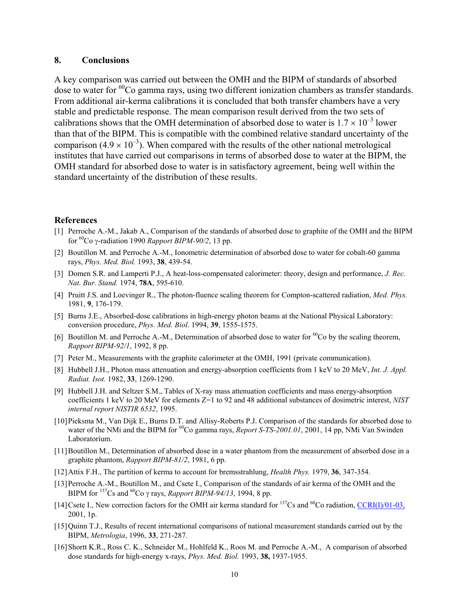#### **8. Conclusions**

A key comparison was carried out between the OMH and the BIPM of standards of absorbed dose to water for  ${}^{60}Co$  gamma rays, using two different ionization chambers as transfer standards. From additional air-kerma calibrations it is concluded that both transfer chambers have a very stable and predictable response. The mean comparison result derived from the two sets of calibrations shows that the OMH determination of absorbed dose to water is  $1.7 \times 10^{-3}$  lower than that of the BIPM. This is compatible with the combined relative standard uncertainty of the comparison (4.9  $\times$  10<sup>-3</sup>). When compared with the results of the other national metrological institutes that have carried out comparisons in terms of absorbed dose to water at the BIPM, the OMH standard for absorbed dose to water is in satisfactory agreement, being well within the standard uncertainty of the distribution of these results.

#### **References**

- [1] Perroche A.-M., Jakab A., Comparison of the standards of absorbed dose to graphite of the OMH and the BIPM for 60Co γ-radiation 1990 *Rapport BIPM-90/2*, 13 pp.
- [2] Boutillon M. and Perroche A.-M., Ionometric determination of absorbed dose to water for cobalt-60 gamma rays, *Phys. Med. Biol.* 1993, **38**, 439-54.
- [3] Domen S.R. and Lamperti P.J., A heat-loss-compensated calorimeter: theory, design and performance, *J. Rec. Nat. Bur. Stand.* 1974, **78A**, 595-610.
- [4] Pruitt J.S. and Loevinger R., The photon-fluence scaling theorem for Compton-scattered radiation, *Med. Phys.* 1981, **9**, 176-179.
- [5] Burns J.E., Absorbed-dose calibrations in high-energy photon beams at the National Physical Laboratory: conversion procedure, *Phys. Med. Biol*. 1994, **39**, 1555-1575.
- [6] Boutillon M. and Perroche A.-M., Determination of absorbed dose to water for  ${}^{60}Co$  by the scaling theorem, *Rapport BIPM-92/1*, 1992, 8 pp.
- [7] Peter M., Measurements with the graphite calorimeter at the OMH, 1991 (private communication).
- [8] Hubbell J.H., Photon mass attenuation and energy-absorption coefficients from 1 keV to 20 MeV, *Int. J. Appl. Radiat. Isot.* 1982, **33**, 1269-1290.
- [9] Hubbell J.H. and Seltzer S.M., Tables of X-ray mass attenuation coefficients and mass energy-absorption coefficients 1 keV to 20 MeV for elements Z=1 to 92 and 48 additional substances of dosimetric interest, *NIST internal report NISTIR 6532*, 1995.
- [10]Pieksma M., Van Dijk E., Burns D.T. and Allisy-Roberts P.J. Comparison of the standards for absorbed dose to water of the NMi and the BIPM for <sup>60</sup>Co gamma rays, *Report S-TS-2001.01*, 2001, 14 pp, NMi Van Swinden Laboratorium.
- [11]Boutillon M., Determination of absorbed dose in a water phantom from the measurement of absorbed dose in a graphite phantom, *Rapport BIPM-81/2*, 1981, 6 pp.
- [12]Attix F.H., The partition of kerma to account for bremsstrahlung, *Health Phys.* 1979, **36**, 347-354.
- [13] Perroche A.-M., Boutillon M., and Csete I., Comparison of the standards of air kerma of the OMH and the BIPM for  $^{137}$ Cs and  $^{60}$ Co  $\gamma$  rays, *Rapport BIPM-94/13*, 1994, 8 pp.
- [14] Csete I., New correction factors for the OMH air kerma standard for  $^{137}$ Cs and  $^{60}$ Co radiation, [CCRI\(I\)/01-03,](https://www.bipm.org/CC/documents/CCRI(I)/Allowed/15/CCRI(I)01-03.pdf) 2001, 1p.
- [15]Quinn T.J., Results of recent international comparisons of national measurement standards carried out by the BIPM, *Metrologia*, 1996, **33**, 271-287.
- [16]Shortt K.R., Ross C. K., Schneider M., Hohlfeld K., Roos M. and Perroche A.-M., A comparison of absorbed dose standards for high-energy x-rays, *Phys. Med. Biol.* 1993, **38,** 1937-1955.